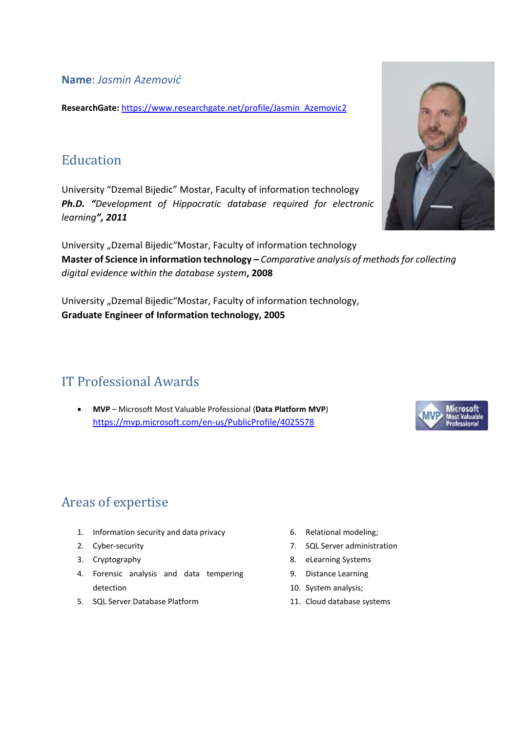**Name**: *Jasmin Azemović*

**ResearchGate:** [https://www.researchgate.net/profile/Jasmin\\_Azemovic2](https://www.researchgate.net/profile/Jasmin_Azemovic2)

### **Education**

University "Dzemal Bijedic" Mostar, Faculty of information technology *Ph.D. "Development of Hippocratic database required for electronic learning", 2011*

University "Dzemal Bijedic"Mostar, Faculty of information technology **Master of Science in information technology –** *Comparative analysis of methods for collecting digital evidence within the database system***, 2008**

University "Dzemal Bijedic"Mostar, Faculty of information technology, **Graduate Engineer of Information technology, 2005**

# IT Professional Awards

• **MVP** – Microsoft Most Valuable Professional (**Data Platform MVP**) <https://mvp.microsoft.com/en-us/PublicProfile/4025578>

# Areas of expertise

- 1. Information security and data privacy
- 2. Cyber-security
- 3. Cryptography
- 4. Forensic analysis and data tempering detection
- 5. SQL Server Database Platform
- 6. Relational modeling;
- 7. SQL Server administration
- 8. eLearning Systems
- 9. Distance Learning
- 10. System analysis;
- 11. Cloud database systems



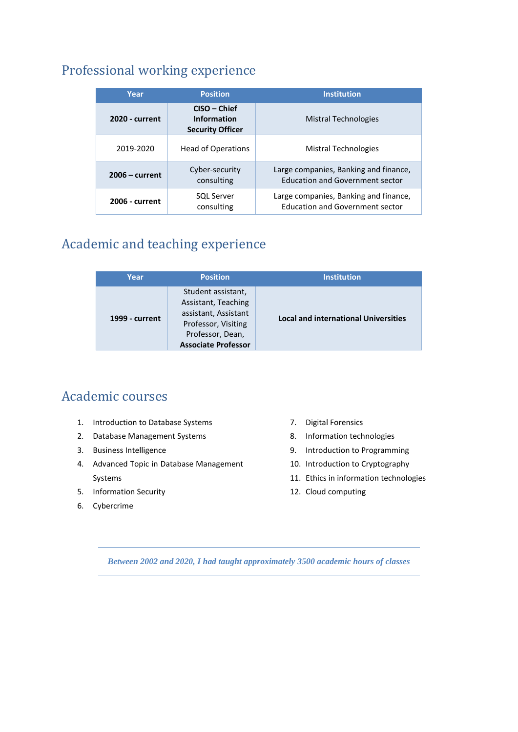## Professional working experience

| Year             | <b>Position</b>                                                 | <b>Institution</b>                                                              |
|------------------|-----------------------------------------------------------------|---------------------------------------------------------------------------------|
| 2020 - current   | $CISO$ – Chief<br><b>Information</b><br><b>Security Officer</b> | <b>Mistral Technologies</b>                                                     |
| 2019-2020        | <b>Head of Operations</b>                                       | Mistral Technologies                                                            |
| $2006$ – current | Cyber-security<br>consulting                                    | Large companies, Banking and finance,<br><b>Education and Government sector</b> |
| 2006 - current   | <b>SQL Server</b><br>consulting                                 | Large companies, Banking and finance,<br><b>Education and Government sector</b> |

## Academic and teaching experience

| Year           | <b>Position</b>                                                                                                                            | <b>Institution</b>                          |
|----------------|--------------------------------------------------------------------------------------------------------------------------------------------|---------------------------------------------|
| 1999 - current | Student assistant,<br>Assistant, Teaching<br>assistant, Assistant<br>Professor, Visiting<br>Professor, Dean,<br><b>Associate Professor</b> | <b>Local and international Universities</b> |

## Academic courses

- 1. Introduction to Database Systems
- 2. Database Management Systems
- 3. Business Intelligence
- 4. Advanced Topic in Database Management Systems
- 5. Information Security
- 6. Cybercrime
- 7. Digital Forensics
- 8. Information technologies
- 9. Introduction to Programming
- 10. Introduction to Cryptography
- 11. Ethics in information technologies
- 12. Cloud computing

*Between 2002 and 2020, I had taught approximately 3500 academic hours of classes*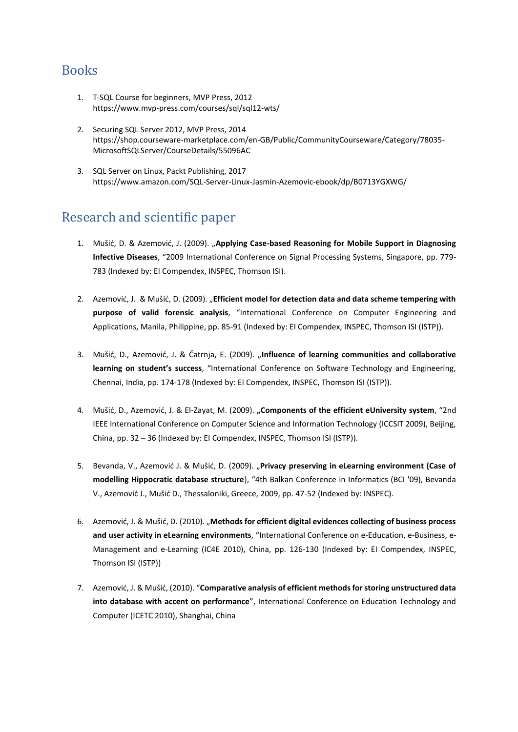### Books

- 1. T-SQL Course for beginners, MVP Press, 2012 https://www.mvp-press.com/courses/sql/sql12-wts/
- 2. Securing SQL Server 2012, MVP Press, 2014 https://shop.courseware-marketplace.com/en-GB/Public/CommunityCourseware/Category/78035- MicrosoftSQLServer/CourseDetails/55096AC
- 3. SQL Server on Linux, Packt Publishing, 2017 https://www.amazon.com/SQL-Server-Linux-Jasmin-Azemovic-ebook/dp/B0713YGXWG/

#### Research and scientific paper

- 1. Mušić, D. & Azemović, J. (2009). "**Applying Case-based Reasoning for Mobile Support in Diagnosing Infective Diseases**, "2009 International Conference on Signal Processing Systems, Singapore, pp. 779- 783 (Indexed by: EI Compendex, INSPEC, Thomson ISI).
- 2. Azemović, J. & Mušić, D. (2009). "Efficient model for detection data and data scheme tempering with **purpose of valid forensic analysis**, "International Conference on Computer Engineering and Applications, Manila, Philippine, pp. 85-91 (Indexed by: EI Compendex, INSPEC, Thomson ISI (ISTP)).
- 3. Mušić, D., Azemović, J. & Čatrnja, E. (2009). "**Influence of learning communities and collaborative learning on student's success**, "International Conference on Software Technology and Engineering, Chennai, India, pp. 174-178 (Indexed by: EI Compendex, INSPEC, Thomson ISI (ISTP)).
- 4. Mušić, D., Azemović, J. & El-Zayat, M. (2009). **"Components of the efficient eUniversity system**, "2nd IEEE International Conference on Computer Science and Information Technology (ICCSIT 2009), Beijing, China, pp. 32 – 36 (Indexed by: EI Compendex, INSPEC, Thomson ISI (ISTP)).
- 5. Bevanda, V., Azemović J. & Mušić, D. (2009). "**Privacy preserving in eLearning environment (Case of modelling Hippocratic database structure**), "4th Balkan Conference in Informatics (BCI '09), Bevanda V., Azemović J., Mušić D., Thessaloniki, Greece, 2009, pp. 47-52 (Indexed by: INSPEC).
- 6. Azemović, J. & Mušić, D. (2010). "**Methods for efficient digital evidences collecting of business process and user activity in eLearning environments**, "International Conference on e-Education, e-Business, e-Management and e-Learning (IC4E 2010), China, pp. 126-130 (Indexed by: EI Compendex, INSPEC, Thomson ISI (ISTP))
- 7. Azemović, J. & Mušić, (2010). "**Comparative analysis of efficient methods for storing unstructured data into database with accent on performance**", International Conference on Education Technology and Computer (ICETC 2010), Shanghai, China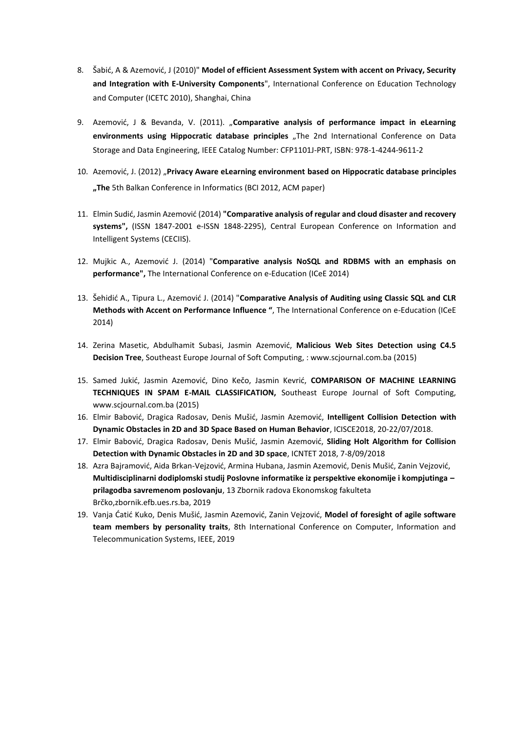- 8. Šabić, A & Azemović, J (2010)" **Model of efficient Assessment System with accent on Privacy, Security and Integration with E-University Components**", International Conference on Education Technology and Computer (ICETC 2010), Shanghai, China
- 9. Azemović, J & Bevanda, V. (2011). "**Comparative analysis of performance impact in eLearning**  environments using Hippocratic database principles "The 2nd International Conference on Data Storage and Data Engineering, IEEE Catalog Number: CFP1101J-PRT, ISBN: 978-1-4244-9611-2
- 10. Azemović, J. (2012) "**Privacy Aware eLearning environment based on Hippocratic database principles "The** 5th Balkan Conference in Informatics (BCI 2012, ACM paper)
- 11. Elmin Sudić, Jasmin Azemović (2014) **"Comparative analysis of regular and cloud disaster and recovery systems",** (ISSN 1847-2001 e-ISSN 1848-2295), Central European Conference on Information and Intelligent Systems (CECIIS).
- 12. Mujkic A., Azemović J. (2014) "**Comparative analysis NoSQL and RDBMS with an emphasis on performance",** The International Conference on e-Education (ICeE 2014)
- 13. Šehidić A., Tipura L., Azemović J. (2014) "**Comparative Analysis of Auditing using Classic SQL and CLR Methods with Accent on Performance Influence "**, The International Conference on e-Education (ICeE 2014)
- 14. Zerina Masetic, Abdulhamit Subasi, Jasmin Azemović, **Malicious Web Sites Detection using C4.5 Decision Tree**, Southeast Europe Journal of Soft Computing, : www.scjournal.com.ba (2015)
- 15. Samed Jukić, Jasmin Azemović, Dino Kečo, Jasmin Kevrić, **COMPARISON OF MACHINE LEARNING TECHNIQUES IN SPAM E-MAIL CLASSIFICATION,** Southeast Europe Journal of Soft Computing, www.scjournal.com.ba (2015)
- 16. Elmir Babović, Dragica Radosav, Denis Mušić, Jasmin Azemović, **Intelligent Collision Detection with Dynamic Obstacles in 2D and 3D Space Based on Human Behavior**, ICISCE2018, 20-22/07/2018.
- 17. Elmir Babović, Dragica Radosav, Denis Mušić, Jasmin Azemović, **Sliding Holt Algorithm for Collision Detection with Dynamic Obstacles in 2D and 3D space**, ICNTET 2018, 7-8/09/2018
- 18. Azra Bajramović, Aida Brkan-Vejzović, Armina Hubana, Jasmin Azemović, Denis Mušić, Zanin Vejzović, **Multidisciplinarni dodiplomski studij Poslovne informatike iz perspektive ekonomije i kompjutinga – prilagodba savremenom poslovanju**, 13 Zbornik radova Ekonomskog fakulteta Brčko,zbornik.efb.ues.rs.ba, 2019
- 19. Vanja Ćatić Kuko, Denis Mušić, Jasmin Azemović, Zanin Vejzović, **Model of foresight of agile software team members by personality traits**, 8th International Conference on Computer, Information and Telecommunication Systems, IEEE, 2019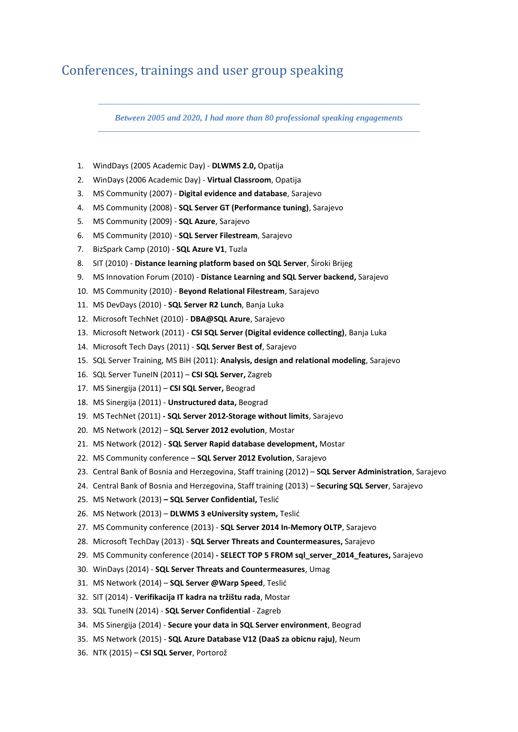### Conferences, trainings and user group speaking

*Between 2005 and 2020, I had more than 80 professional speaking engagements*

- 1. WindDays (2005 Academic Day) **DLWMS 2.0,** Opatija
- 2. WinDays (2006 Academic Day) **Virtual Classroom**, Opatija
- 3. MS Community (2007) **Digital evidence and database**, Sarajevo
- 4. MS Community (2008) **SQL Server GT (Performance tuning)**, Sarajevo
- 5. MS Community (2009) **SQL Azure**, Sarajevo
- 6. MS Community (2010) **SQL Server Filestream**, Sarajevo
- 7. BizSpark Camp (2010) **SQL Azure V1**, Tuzla
- 8. SIT (2010) **Distance learning platform based on SQL Server**, Široki Brijeg
- 9. MS Innovation Forum (2010) **Distance Learning and SQL Server backend,** Sarajevo
- 10. MS Community (2010) **Beyond Relational Filestream**, Sarajevo
- 11. MS DevDays (2010) **SQL Server R2 Lunch**, Banja Luka
- 12. Microsoft TechNet (2010) **DBA@SQL Azure**, Sarajevo
- 13. Microsoft Network (2011) **CSI SQL Server (Digital evidence collecting)**, Banja Luka
- 14. Microsoft Tech Days (2011) **SQL Server Best of**, Sarajevo
- 15. SQL Server Training, MS BiH (2011): **Analysis, design and relational modeling**, Sarajevo
- 16. SQL Server TuneIN (2011) **CSI SQL Server,** Zagreb
- 17. MS Sinergija (2011) **CSI SQL Server,** Beograd
- 18. MS Sinergija (2011) **Unstructured data,** Beograd
- 19. MS TechNet (2011) **- SQL Server 2012-Storage without limits**, Sarajevo
- 20. MS Network (2012) **SQL Server 2012 evolution**, Mostar
- 21. MS Network (2012) **SQL Server Rapid database development,** Mostar
- 22. MS Community conference **SQL Server 2012 Evolution**, Sarajevo
- 23. Central Bank of Bosnia and Herzegovina, Staff training (2012) **SQL Server Administration**, Sarajevo
- 24. Central Bank of Bosnia and Herzegovina, Staff training (2013) **Securing SQL Server**, Sarajevo
- 25. MS Network (2013) **– SQL Server Confidential,** Teslić
- 26. MS Network (2013) **DLWMS 3 eUniversity system,** Teslić
- 27. MS Community conference (2013) **SQL Server 2014 In-Memory OLTP**, Sarajevo
- 28. Microsoft TechDay (2013) **SQL Server Threats and Countermeasures,** Sarajevo
- 29. MS Community conference (2014) **- SELECT TOP 5 FROM sql\_server\_2014\_features,** Sarajevo
- 30. WinDays (2014) **SQL Server Threats and Countermeasures**, Umag
- 31. MS Network (2014) **SQL Server @Warp Speed**, Teslić
- 32. SIT (2014) **Verifikacija IT kadra na tržištu rada**, Mostar
- 33. SQL TuneIN (2014) **SQL Server Confidential** Zagreb
- 34. MS Sinergija (2014) **Secure your data in SQL Server environment**, Beograd
- 35. MS Network (2015) **SQL Azure Database V12 (DaaS za obicnu raju)**, Neum
- 36. NTK (2015) **CSI SQL Server**, Portorož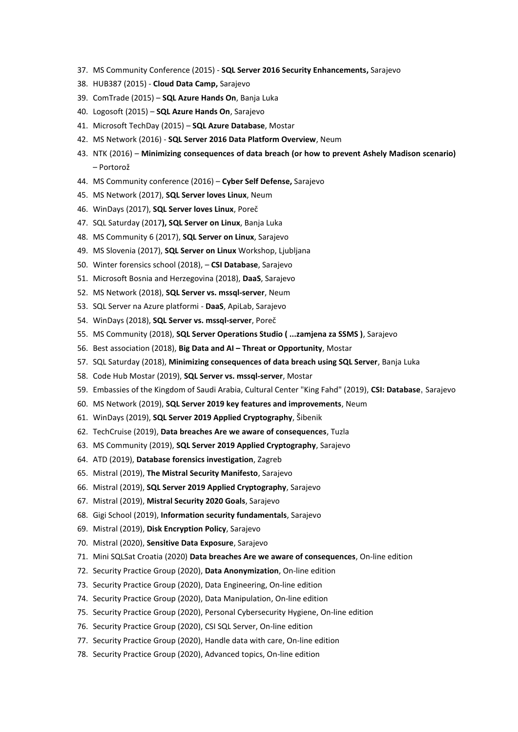- 37. MS Community Conference (2015) **SQL Server 2016 Security Enhancements,** Sarajevo
- 38. HUB387 (2015) **Cloud Data Camp,** Sarajevo
- 39. ComTrade (2015) **SQL Azure Hands On**, Banja Luka
- 40. Logosoft (2015) **SQL Azure Hands On**, Sarajevo
- 41. Microsoft TechDay (2015) **SQL Azure Database**, Mostar
- 42. MS Network (2016) **SQL Server 2016 Data Platform Overview**, Neum
- 43. NTK (2016) **Minimizing consequences of data breach (or how to prevent Ashely Madison scenario)** – Portorož
- 44. MS Community conference (2016) **Cyber Self Defense,** Sarajevo
- 45. MS Network (2017), **SQL Server loves Linux**, Neum
- 46. WinDays (2017), **SQL Server loves Linux**, Poreč
- 47. SQL Saturday (2017**), SQL Server on Linux**, Banja Luka
- 48. MS Community 6 (2017), **SQL Server on Linux**, Sarajevo
- 49. MS Slovenia (2017), **SQL Server on Linux** Workshop, Ljubljana
- 50. Winter forensics school (2018), **CSI Database**, Sarajevo
- 51. Microsoft Bosnia and Herzegovina (2018), **DaaS**, Sarajevo
- 52. MS Network (2018), **SQL Server vs. mssql-server**, Neum
- 53. SQL Server na Azure platformi **DaaS**, ApiLab, Sarajevo
- 54. WinDays (2018), **SQL Server vs. mssql-server**, Poreč
- 55. MS Community (2018), **SQL Server Operations Studio ( ...zamjena za SSMS )**, Sarajevo
- 56. Best association (2018), **Big Data and AI – Threat or Opportunity**, Mostar
- 57. SQL Saturday (2018), **Minimizing consequences of data breach using SQL Server**, Banja Luka
- 58. Code Hub Mostar (2019), **SQL Server vs. mssql-server**, Mostar
- 59. Embassies of the Kingdom of Saudi Arabia, Cultural Center "King Fahd" (2019), **CSI: Database**, Sarajevo
- 60. MS Network (2019), **SQL Server 2019 key features and improvements**, Neum
- 61. WinDays (2019), **SQL Server 2019 Applied Cryptography**, Šibenik
- 62. TechCruise (2019), **Data breaches Are we aware of consequences**, Tuzla
- 63. MS Community (2019), **SQL Server 2019 Applied Cryptography**, Sarajevo
- 64. ATD (2019), **Database forensics investigation**, Zagreb
- 65. Mistral (2019), **The Mistral Security Manifesto**, Sarajevo
- 66. Mistral (2019), **SQL Server 2019 Applied Cryptography**, Sarajevo
- 67. Mistral (2019), **Mistral Security 2020 Goals**, Sarajevo
- 68. Gigi School (2019), **Information security fundamentals**, Sarajevo
- 69. Mistral (2019), **Disk Encryption Policy**, Sarajevo
- 70. Mistral (2020), **Sensitive Data Exposure**, Sarajevo
- 71. Mini SQLSat Croatia (2020) **Data breaches Are we aware of consequences**, On-line edition
- 72. Security Practice Group (2020), **Data Anonymization**, On-line edition
- 73. Security Practice Group (2020), Data Engineering, On-line edition
- 74. Security Practice Group (2020), Data Manipulation, On-line edition
- 75. Security Practice Group (2020), Personal Cybersecurity Hygiene, On-line edition
- 76. Security Practice Group (2020), CSI SQL Server, On-line edition
- 77. Security Practice Group (2020), Handle data with care, On-line edition
- 78. Security Practice Group (2020), Advanced topics, On-line edition